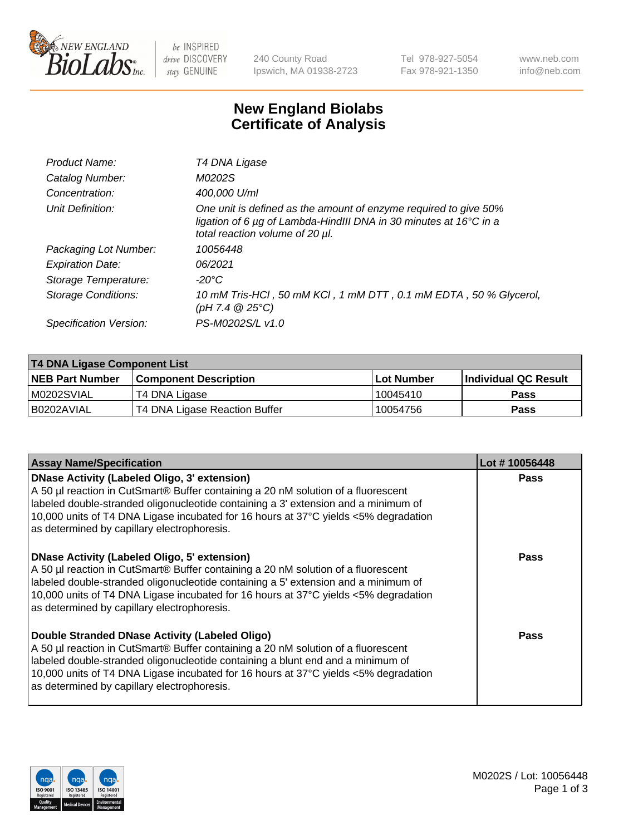

be INSPIRED drive DISCOVERY stay GENUINE

240 County Road Ipswich, MA 01938-2723 Tel 978-927-5054 Fax 978-921-1350 www.neb.com info@neb.com

## **New England Biolabs Certificate of Analysis**

| Product Name:              | T4 DNA Ligase                                                                                                                                                            |
|----------------------------|--------------------------------------------------------------------------------------------------------------------------------------------------------------------------|
| Catalog Number:            | M0202S                                                                                                                                                                   |
| Concentration:             | 400,000 U/ml                                                                                                                                                             |
| Unit Definition:           | One unit is defined as the amount of enzyme required to give 50%<br>ligation of 6 µg of Lambda-HindIII DNA in 30 minutes at 16°C in a<br>total reaction volume of 20 µl. |
| Packaging Lot Number:      | 10056448                                                                                                                                                                 |
| <b>Expiration Date:</b>    | 06/2021                                                                                                                                                                  |
| Storage Temperature:       | -20°C                                                                                                                                                                    |
| <b>Storage Conditions:</b> | 10 mM Tris-HCl, 50 mM KCl, 1 mM DTT, 0.1 mM EDTA, 50 % Glycerol,<br>(pH 7.4 $@25°C$ )                                                                                    |
| Specification Version:     | PS-M0202S/L v1.0                                                                                                                                                         |

| T4 DNA Ligase Component List |                               |              |                             |  |  |
|------------------------------|-------------------------------|--------------|-----------------------------|--|--|
| <b>NEB Part Number</b>       | l Component Description       | l Lot Number | <b>Individual QC Result</b> |  |  |
| M0202SVIAL                   | T4 DNA Ligase                 | 10045410     | <b>Pass</b>                 |  |  |
| I B0202AVIAL                 | T4 DNA Ligase Reaction Buffer | 10054756     | <b>Pass</b>                 |  |  |

| <b>Assay Name/Specification</b>                                                                                                                                                                                                                                                                                                                               | Lot #10056448 |
|---------------------------------------------------------------------------------------------------------------------------------------------------------------------------------------------------------------------------------------------------------------------------------------------------------------------------------------------------------------|---------------|
| DNase Activity (Labeled Oligo, 3' extension)<br>A 50 µl reaction in CutSmart® Buffer containing a 20 nM solution of a fluorescent<br>labeled double-stranded oligonucleotide containing a 3' extension and a minimum of<br>10,000 units of T4 DNA Ligase incubated for 16 hours at 37°C yields <5% degradation<br>as determined by capillary electrophoresis. | <b>Pass</b>   |
| DNase Activity (Labeled Oligo, 5' extension)<br>A 50 µl reaction in CutSmart® Buffer containing a 20 nM solution of a fluorescent<br>labeled double-stranded oligonucleotide containing a 5' extension and a minimum of<br>10,000 units of T4 DNA Ligase incubated for 16 hours at 37°C yields <5% degradation<br>as determined by capillary electrophoresis. | <b>Pass</b>   |
| Double Stranded DNase Activity (Labeled Oligo)<br>A 50 µl reaction in CutSmart® Buffer containing a 20 nM solution of a fluorescent<br>abeled double-stranded oligonucleotide containing a blunt end and a minimum of<br>10,000 units of T4 DNA Ligase incubated for 16 hours at 37°C yields <5% degradation<br>as determined by capillary electrophoresis.   | Pass          |

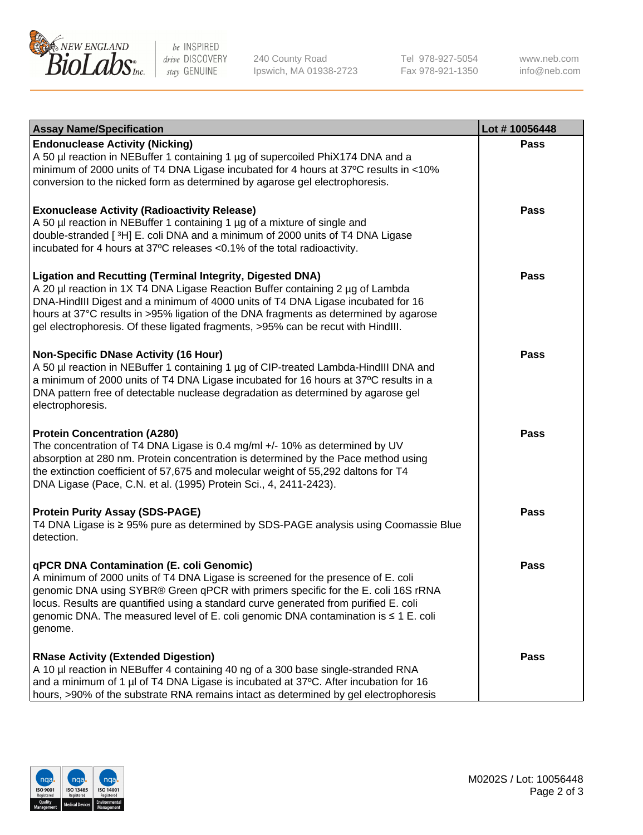

be INSPIRED drive DISCOVERY stay GENUINE

240 County Road Ipswich, MA 01938-2723 Tel 978-927-5054 Fax 978-921-1350

www.neb.com info@neb.com

| <b>Assay Name/Specification</b>                                                                                                                                                                                                                                                                                                                                                                                    | Lot #10056448 |
|--------------------------------------------------------------------------------------------------------------------------------------------------------------------------------------------------------------------------------------------------------------------------------------------------------------------------------------------------------------------------------------------------------------------|---------------|
| <b>Endonuclease Activity (Nicking)</b><br>A 50 µl reaction in NEBuffer 1 containing 1 µg of supercoiled PhiX174 DNA and a<br>minimum of 2000 units of T4 DNA Ligase incubated for 4 hours at 37°C results in <10%<br>conversion to the nicked form as determined by agarose gel electrophoresis.                                                                                                                   | <b>Pass</b>   |
| <b>Exonuclease Activity (Radioactivity Release)</b><br>A 50 µl reaction in NEBuffer 1 containing 1 µg of a mixture of single and<br>double-stranded [3H] E. coli DNA and a minimum of 2000 units of T4 DNA Ligase<br>incubated for 4 hours at 37°C releases <0.1% of the total radioactivity.                                                                                                                      | <b>Pass</b>   |
| <b>Ligation and Recutting (Terminal Integrity, Digested DNA)</b><br>A 20 µl reaction in 1X T4 DNA Ligase Reaction Buffer containing 2 µg of Lambda<br>DNA-HindIII Digest and a minimum of 4000 units of T4 DNA Ligase incubated for 16<br>hours at 37°C results in >95% ligation of the DNA fragments as determined by agarose<br>gel electrophoresis. Of these ligated fragments, >95% can be recut with HindIII. | <b>Pass</b>   |
| <b>Non-Specific DNase Activity (16 Hour)</b><br>A 50 µl reaction in NEBuffer 1 containing 1 µg of CIP-treated Lambda-HindIII DNA and<br>a minimum of 2000 units of T4 DNA Ligase incubated for 16 hours at 37°C results in a<br>DNA pattern free of detectable nuclease degradation as determined by agarose gel<br>electrophoresis.                                                                               | <b>Pass</b>   |
| <b>Protein Concentration (A280)</b><br>The concentration of T4 DNA Ligase is 0.4 mg/ml +/- 10% as determined by UV<br>absorption at 280 nm. Protein concentration is determined by the Pace method using<br>the extinction coefficient of 57,675 and molecular weight of 55,292 daltons for T4<br>DNA Ligase (Pace, C.N. et al. (1995) Protein Sci., 4, 2411-2423).                                                | <b>Pass</b>   |
| <b>Protein Purity Assay (SDS-PAGE)</b><br>T4 DNA Ligase is ≥ 95% pure as determined by SDS-PAGE analysis using Coomassie Blue<br>detection.                                                                                                                                                                                                                                                                        | <b>Pass</b>   |
| qPCR DNA Contamination (E. coli Genomic)<br>A minimum of 2000 units of T4 DNA Ligase is screened for the presence of E. coli<br>genomic DNA using SYBR® Green qPCR with primers specific for the E. coli 16S rRNA<br>locus. Results are quantified using a standard curve generated from purified E. coli<br>genomic DNA. The measured level of E. coli genomic DNA contamination is ≤ 1 E. coli<br>genome.        | Pass          |
| <b>RNase Activity (Extended Digestion)</b><br>A 10 µl reaction in NEBuffer 4 containing 40 ng of a 300 base single-stranded RNA<br>and a minimum of 1 µl of T4 DNA Ligase is incubated at 37°C. After incubation for 16<br>hours, >90% of the substrate RNA remains intact as determined by gel electrophoresis                                                                                                    | <b>Pass</b>   |